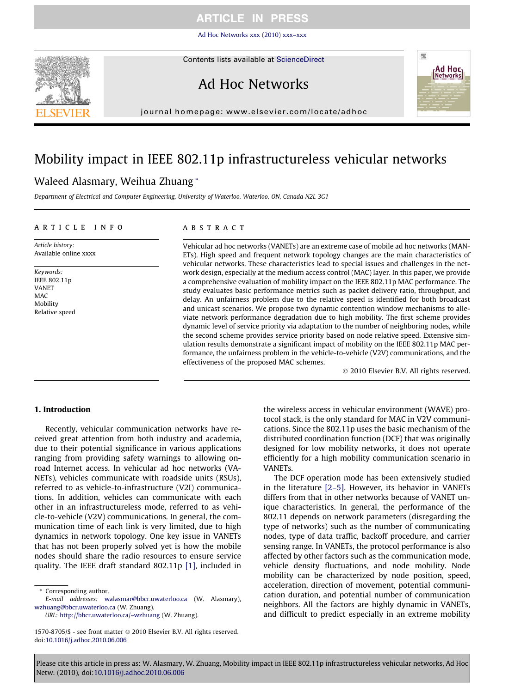[Ad Hoc Networks xxx \(2010\) xxx–xxx](http://dx.doi.org/10.1016/j.adhoc.2010.06.006)



Contents lists available at [ScienceDirect](http://www.sciencedirect.com/science/journal/15708705)

# Ad Hoc Networks



journal homepage: [www.elsevier.com/locate/adhoc](http://www.elsevier.com/locate/adhoc)

# Mobility impact in IEEE 802.11p infrastructureless vehicular networks

### Waleed Alasmary, Weihua Zhuang \*

Department of Electrical and Computer Engineering, University of Waterloo, Waterloo, ON, Canada N2L 3G1

#### article info

Article history: Available online xxxx

Keywords: IEEE 802.11p VANET MAC Mobility Relative speed

#### **ABSTRACT**

Vehicular ad hoc networks (VANETs) are an extreme case of mobile ad hoc networks (MAN-ETs). High speed and frequent network topology changes are the main characteristics of vehicular networks. These characteristics lead to special issues and challenges in the network design, especially at the medium access control (MAC) layer. In this paper, we provide a comprehensive evaluation of mobility impact on the IEEE 802.11p MAC performance. The study evaluates basic performance metrics such as packet delivery ratio, throughput, and delay. An unfairness problem due to the relative speed is identified for both broadcast and unicast scenarios. We propose two dynamic contention window mechanisms to alleviate network performance degradation due to high mobility. The first scheme provides dynamic level of service priority via adaptation to the number of neighboring nodes, while the second scheme provides service priority based on node relative speed. Extensive simulation results demonstrate a significant impact of mobility on the IEEE 802.11p MAC performance, the unfairness problem in the vehicle-to-vehicle (V2V) communications, and the effectiveness of the proposed MAC schemes.

- 2010 Elsevier B.V. All rights reserved.

#### 1. Introduction

Recently, vehicular communication networks have received great attention from both industry and academia, due to their potential significance in various applications ranging from providing safety warnings to allowing onroad Internet access. In vehicular ad hoc networks (VA-NETs), vehicles communicate with roadside units (RSUs), referred to as vehicle-to-infrastructure (V2I) communications. In addition, vehicles can communicate with each other in an infrastructureless mode, referred to as vehicle-to-vehicle (V2V) communications. In general, the communication time of each link is very limited, due to high dynamics in network topology. One key issue in VANETs that has not been properly solved yet is how the mobile nodes should share the radio resources to ensure service quality. The IEEE draft standard 802.11p [\[1\]](#page-7-0), included in

Corresponding author.

E-mail addresses: [walasmar@bbcr.uwaterloo.ca](mailto:walasmar@bbcr.uwaterloo.ca) (W. Alasmary), [wzhuang@bbcr.uwaterloo.ca](mailto:wzhuang@bbcr.uwaterloo.ca) (W. Zhuang).

URL: <http://bbcr.uwaterloo.ca/~wzhuang> (W. Zhuang).

the wireless access in vehicular environment (WAVE) protocol stack, is the only standard for MAC in V2V communications. Since the 802.11p uses the basic mechanism of the distributed coordination function (DCF) that was originally designed for low mobility networks, it does not operate efficiently for a high mobility communication scenario in VANETs.

The DCF operation mode has been extensively studied in the literature [\[2–5\]](#page-7-0). However, its behavior in VANETs differs from that in other networks because of VANET unique characteristics. In general, the performance of the 802.11 depends on network parameters (disregarding the type of networks) such as the number of communicating nodes, type of data traffic, backoff procedure, and carrier sensing range. In VANETs, the protocol performance is also affected by other factors such as the communication mode, vehicle density fluctuations, and node mobility. Node mobility can be characterized by node position, speed, acceleration, direction of movement, potential communication duration, and potential number of communication neighbors. All the factors are highly dynamic in VANETs, and difficult to predict especially in an extreme mobility

<sup>1570-8705/\$ -</sup> see front matter © 2010 Elsevier B.V. All rights reserved. doi:[10.1016/j.adhoc.2010.06.006](http://dx.doi.org/10.1016/j.adhoc.2010.06.006)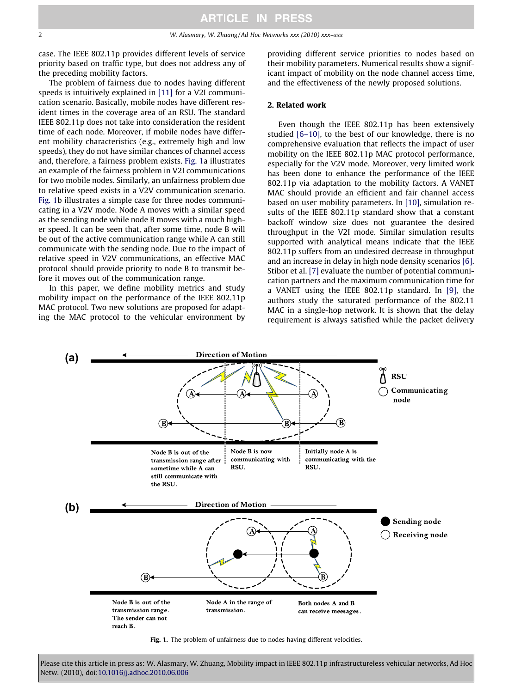case. The IEEE 802.11p provides different levels of service priority based on traffic type, but does not address any of the preceding mobility factors.

The problem of fairness due to nodes having different speeds is intuitively explained in [\[11\]](#page-7-0) for a V2I communication scenario. Basically, mobile nodes have different resident times in the coverage area of an RSU. The standard IEEE 802.11p does not take into consideration the resident time of each node. Moreover, if mobile nodes have different mobility characteristics (e.g., extremely high and low speeds), they do not have similar chances of channel access and, therefore, a fairness problem exists. Fig. 1a illustrates an example of the fairness problem in V2I communications for two mobile nodes. Similarly, an unfairness problem due to relative speed exists in a V2V communication scenario. Fig. 1b illustrates a simple case for three nodes communicating in a V2V mode. Node A moves with a similar speed as the sending node while node B moves with a much higher speed. It can be seen that, after some time, node B will be out of the active communication range while A can still communicate with the sending node. Due to the impact of relative speed in V2V communications, an effective MAC protocol should provide priority to node B to transmit before it moves out of the communication range.

In this paper, we define mobility metrics and study mobility impact on the performance of the IEEE 802.11p MAC protocol. Two new solutions are proposed for adapting the MAC protocol to the vehicular environment by providing different service priorities to nodes based on their mobility parameters. Numerical results show a significant impact of mobility on the node channel access time, and the effectiveness of the newly proposed solutions.

#### 2. Related work

Even though the IEEE 802.11p has been extensively studied [\[6–10\]](#page-7-0), to the best of our knowledge, there is no comprehensive evaluation that reflects the impact of user mobility on the IEEE 802.11p MAC protocol performance, especially for the V2V mode. Moreover, very limited work has been done to enhance the performance of the IEEE 802.11p via adaptation to the mobility factors. A VANET MAC should provide an efficient and fair channel access based on user mobility parameters. In [\[10\]](#page-7-0), simulation results of the IEEE 802.11p standard show that a constant backoff window size does not guarantee the desired throughput in the V2I mode. Similar simulation results supported with analytical means indicate that the IEEE 802.11p suffers from an undesired decrease in throughput and an increase in delay in high node density scenarios [\[6\]](#page-7-0). Stibor et al. [\[7\]](#page-7-0) evaluate the number of potential communication partners and the maximum communication time for a VANET using the IEEE 802.11p standard. In [\[9\]](#page-7-0), the authors study the saturated performance of the 802.11 MAC in a single-hop network. It is shown that the delay requirement is always satisfied while the packet delivery



Fig. 1. The problem of unfairness due to nodes having different velocities.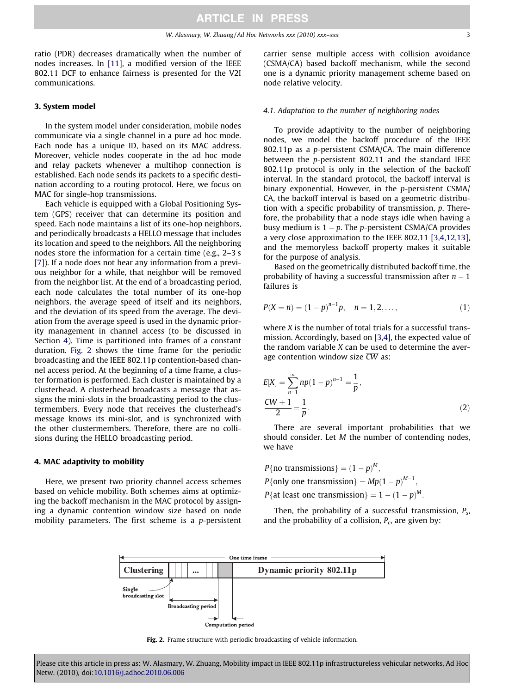<span id="page-2-0"></span>ratio (PDR) decreases dramatically when the number of nodes increases. In [\[11\],](#page-7-0) a modified version of the IEEE 802.11 DCF to enhance fairness is presented for the V2I communications.

#### 3. System model

In the system model under consideration, mobile nodes communicate via a single channel in a pure ad hoc mode. Each node has a unique ID, based on its MAC address. Moreover, vehicle nodes cooperate in the ad hoc mode and relay packets whenever a multihop connection is established. Each node sends its packets to a specific destination according to a routing protocol. Here, we focus on MAC for single-hop transmissions.

Each vehicle is equipped with a Global Positioning System (GPS) receiver that can determine its position and speed. Each node maintains a list of its one-hop neighbors, and periodically broadcasts a HELLO message that includes its location and speed to the neighbors. All the neighboring nodes store the information for a certain time (e.g., 2–3 s [\[7\]\)](#page-7-0). If a node does not hear any information from a previous neighbor for a while, that neighbor will be removed from the neighbor list. At the end of a broadcasting period, each node calculates the total number of its one-hop neighbors, the average speed of itself and its neighbors, and the deviation of its speed from the average. The deviation from the average speed is used in the dynamic priority management in channel access (to be discussed in Section 4). Time is partitioned into frames of a constant duration. Fig. 2 shows the time frame for the periodic broadcasting and the IEEE 802.11p contention-based channel access period. At the beginning of a time frame, a cluster formation is performed. Each cluster is maintained by a clusterhead. A clusterhead broadcasts a message that assigns the mini-slots in the broadcasting period to the clustermembers. Every node that receives the clusterhead's message knows its mini-slot, and is synchronized with the other clustermembers. Therefore, there are no collisions during the HELLO broadcasting period.

#### 4. MAC adaptivity to mobility

Here, we present two priority channel access schemes based on vehicle mobility. Both schemes aims at optimizing the backoff mechanism in the MAC protocol by assigning a dynamic contention window size based on node mobility parameters. The first scheme is a p-persistent carrier sense multiple access with collision avoidance (CSMA/CA) based backoff mechanism, while the second one is a dynamic priority management scheme based on node relative velocity.

#### 4.1. Adaptation to the number of neighboring nodes

To provide adaptivity to the number of neighboring nodes, we model the backoff procedure of the IEEE 802.11p as a p-persistent CSMA/CA. The main difference between the p-persistent 802.11 and the standard IEEE 802.11p protocol is only in the selection of the backoff interval. In the standard protocol, the backoff interval is binary exponential. However, in the p-persistent CSMA/ CA, the backoff interval is based on a geometric distribution with a specific probability of transmission, p. Therefore, the probability that a node stays idle when having a busy medium is  $1 - p$ . The p-persistent CSMA/CA provides a very close approximation to the IEEE 802.11 [\[3,4,12,13\]](#page-7-0), and the memoryless backoff property makes it suitable for the purpose of analysis.

Based on the geometrically distributed backoff time, the probability of having a successful transmission after  $n-1$ failures is

$$
P(X = n) = (1 - p)^{n-1}p, \quad n = 1, 2, \dots,
$$
\n(1)

where *X* is the number of total trials for a successful transmission. Accordingly, based on [\[3,4\],](#page-7-0) the expected value of the random variable X can be used to determine the average contention window size  $\overline{CW}$  as:

$$
E[X] = \sum_{n=1}^{\infty} np(1-p)^{n-1} = \frac{1}{p},
$$
  

$$
\frac{\overline{CW} + 1}{2} = \frac{1}{p}.
$$
 (2)

There are several important probabilities that we should consider. Let M the number of contending nodes, we have

P{no transmissions} =  $(1-p)^M$ , P{only one transmission} =  $Mp(1-p)^{M-1}$ , P{at least one transmission} =  $1 - (1 - p)^M$ .

Then, the probability of a successful transmission,  $P_{\rm s}$ , and the probability of a collision,  $P_c$ , are given by:



Fig. 2. Frame structure with periodic broadcasting of vehicle information.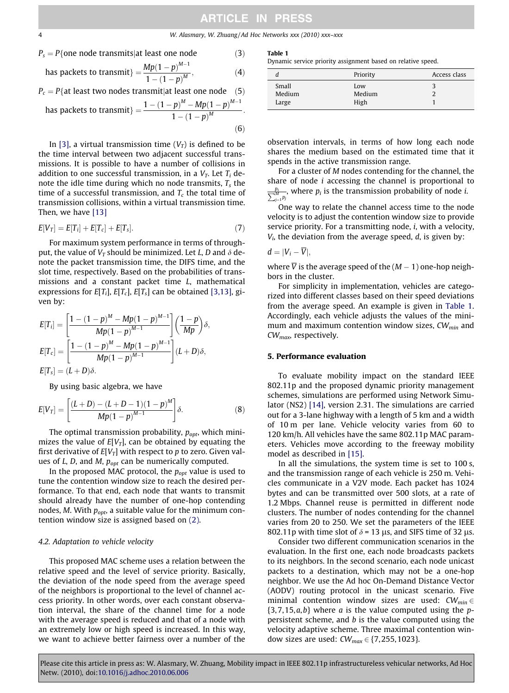#### 4 W. Alasmary, W. Zhuang / Ad Hoc Networks xxx (2010) xxx–xxx

$$
P_s = P\{\text{one node transmits} | \text{at least one node} \tag{3}
$$

has packets to transmit} = 
$$
\frac{Mp(1-p)^{M-1}}{1-(1-p)^M}
$$
, (4)

 $P_c = P\{$ at least two nodes transmit|at least one node (5)  $M-$ 1

has packets to transmit} = 
$$
\frac{1 - (1 - p)^M - Mp(1 - p)^{M-1}}{1 - (1 - p)^M}.
$$
 (6)

In [\[3\],](#page-7-0) a virtual transmission time  $(V_T)$  is defined to be the time interval between two adjacent successful transmissions. It is possible to have a number of collisions in addition to one successful transmission, in a  $V_T$ . Let  $T_i$  denote the idle time during which no node transmits,  $T_s$  the time of a successful transmission, and  $T_c$  the total time of transmission collisions, within a virtual transmission time. Then, we have [\[13\]](#page-7-0)

$$
E[V_T] = E[T_i] + E[T_c] + E[T_s].
$$
\n(7)

For maximum system performance in terms of throughput, the value of  $V_T$  should be minimized. Let L, D and  $\delta$  denote the packet transmission time, the DIFS time, and the slot time, respectively. Based on the probabilities of transmissions and a constant packet time L, mathematical expressions for  $E[T_i]$ ,  $E[T_c]$ ,  $E[T_s]$  can be obtained [\[3,13\],](#page-7-0) given by:

$$
E[T_i] = \left[\frac{1 - (1 - p)^M - Mp(1 - p)^{M-1}}{Mp(1 - p)^{M-1}}\right] \left(\frac{1 - p}{Mp}\right) \delta,
$$
  
\n
$$
E[T_c] = \left[\frac{1 - (1 - p)^M - Mp(1 - p)^{M-1}}{Mp(1 - p)^{M-1}}\right] (L + D) \delta,
$$
  
\n
$$
E[T_s] = (L + D) \delta.
$$

By using basic algebra, we have

$$
E[V_T] = \left[ \frac{(L+D) - (L+D-1)(1-p)^M}{Mp(1-p)^{M-1}} \right] \delta.
$$
 (8)

The optimal transmission probability,  $p_{opt}$ , which minimizes the value of  $E[V_T]$ , can be obtained by equating the first derivative of  $E[V_T]$  with respect to p to zero. Given values of  $L$ ,  $D$ , and  $M$ ,  $p_{opt}$  can be numerically computed.

In the proposed MAC protocol, the  $p_{opt}$  value is used to tune the contention window size to reach the desired performance. To that end, each node that wants to transmit should already have the number of one-hop contending nodes, M. With  $p_{opt}$ , a suitable value for the minimum contention window size is assigned based on [\(2\)](#page-2-0).

#### 4.2. Adaptation to vehicle velocity

This proposed MAC scheme uses a relation between the relative speed and the level of service priority. Basically, the deviation of the node speed from the average speed of the neighbors is proportional to the level of channel access priority. In other words, over each constant observation interval, the share of the channel time for a node with the average speed is reduced and that of a node with an extremely low or high speed is increased. In this way, we want to achieve better fairness over a number of the

Table 1

Dynamic service priority assignment based on relative speed.

|                          | Priority              | Access class |
|--------------------------|-----------------------|--------------|
| Small<br>Medium<br>Large | Low<br>Medium<br>High |              |

observation intervals, in terms of how long each node shares the medium based on the estimated time that it spends in the active transmission range.

For a cluster of M nodes contending for the channel, the share of node i accessing the channel is proportional to  $\frac{p_i}{\sum_{j=1}^{M} p_j}$ , where  $p_i$  is the transmission probability of node *i*.

One way to relate the channel access time to the node velocity is to adjust the contention window size to provide service priority. For a transmitting node, *i*, with a velocity,  $V_i$ , the deviation from the average speed,  $d$ , is given by:

$$
d=|V_i-\overline{V}|,
$$

where V is the average speed of the  $(M - 1)$  one-hop neighbors in the cluster.

For simplicity in implementation, vehicles are categorized into different classes based on their speed deviations from the average speed. An example is given in Table 1. Accordingly, each vehicle adjusts the values of the minimum and maximum contention window sizes,  $CW_{min}$  and CWmax, respectively.

#### 5. Performance evaluation

To evaluate mobility impact on the standard IEEE 802.11p and the proposed dynamic priority management schemes, simulations are performed using Network Simulator (NS2) [\[14\]](#page-7-0), version 2.31. The simulations are carried out for a 3-lane highway with a length of 5 km and a width of 10 m per lane. Vehicle velocity varies from 60 to 120 km/h. All vehicles have the same 802.11p MAC parameters. Vehicles move according to the freeway mobility model as described in [\[15\].](#page-7-0)

In all the simulations, the system time is set to 100 s, and the transmission range of each vehicle is 250 m. Vehicles communicate in a V2V mode. Each packet has 1024 bytes and can be transmitted over 500 slots, at a rate of 1.2 Mbps. Channel reuse is permitted in different node clusters. The number of nodes contending for the channel varies from 20 to 250. We set the parameters of the IEEE 802.11p with time slot of  $\delta$  = 13 µs, and SIFS time of 32 µs.

Consider two different communication scenarios in the evaluation. In the first one, each node broadcasts packets to its neighbors. In the second scenario, each node unicast packets to a destination, which may not be a one-hop neighbor. We use the Ad hoc On-Demand Distance Vector (AODV) routing protocol in the unicast scenario. Five minimal contention window sizes are used:  $CW_{min} \in$  ${3,7,15,a,b}$  where a is the value computed using the ppersistent scheme, and  $b$  is the value computed using the velocity adaptive scheme. Three maximal contention window sizes are used:  $CW_{max} \in \{7, 255, 1023\}.$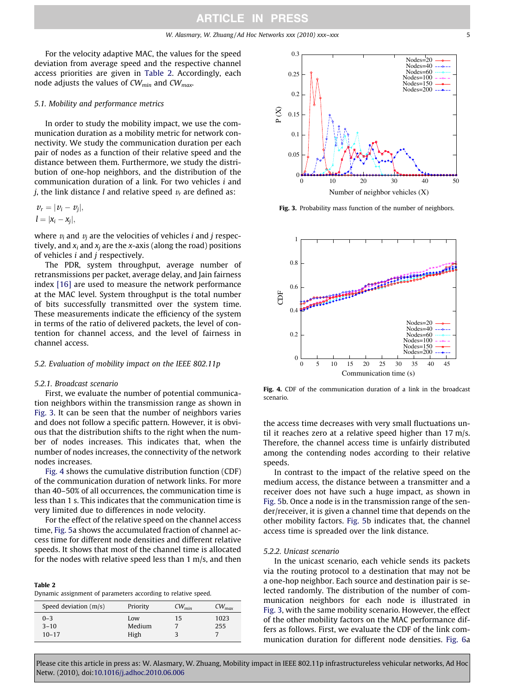For the velocity adaptive MAC, the values for the speed deviation from average speed and the respective channel access priorities are given in Table 2. Accordingly, each node adjusts the values of  $CW_{min}$  and  $CW_{max}$ .

#### 5.1. Mobility and performance metrics

In order to study the mobility impact, we use the communication duration as a mobility metric for network connectivity. We study the communication duration per each pair of nodes as a function of their relative speed and the distance between them. Furthermore, we study the distribution of one-hop neighbors, and the distribution of the communication duration of a link. For two vehicles i and *i*, the link distance *l* and relative speed  $v_r$  are defined as:

$$
\nu_r = |\nu_i - \nu_j|,
$$
  

$$
l = |\mathbf{x}_i - \mathbf{x}_j|,
$$

where  $v_i$  and  $v_j$  are the velocities of vehicles *i* and *j* respectively, and  $x_i$  and  $x_j$  are the x-axis (along the road) positions of vehicles i and j respectively.

The PDR, system throughput, average number of retransmissions per packet, average delay, and Jain fairness index [\[16\]](#page-7-0) are used to measure the network performance at the MAC level. System throughput is the total number of bits successfully transmitted over the system time. These measurements indicate the efficiency of the system in terms of the ratio of delivered packets, the level of contention for channel access, and the level of fairness in channel access.

#### 5.2. Evaluation of mobility impact on the IEEE 802.11p

#### 5.2.1. Broadcast scenario

Table 2

First, we evaluate the number of potential communication neighbors within the transmission range as shown in Fig. 3. It can be seen that the number of neighbors varies and does not follow a specific pattern. However, it is obvious that the distribution shifts to the right when the number of nodes increases. This indicates that, when the number of nodes increases, the connectivity of the network nodes increases.

Fig. 4 shows the cumulative distribution function (CDF) of the communication duration of network links. For more than 40–50% of all occurrences, the communication time is less than 1 s. This indicates that the communication time is very limited due to differences in node velocity.

For the effect of the relative speed on the channel access time, [Fig. 5a](#page-5-0) shows the accumulated fraction of channel access time for different node densities and different relative speeds. It shows that most of the channel time is allocated for the nodes with relative speed less than 1 m/s, and then

Dynamic assignment of parameters according to relative speed.

| Speed deviation $(m/s)$ | Priority      | $CW_{min}$ | $CW_{max}$  |
|-------------------------|---------------|------------|-------------|
| $0 - 3$<br>$3 - 10$     | Low<br>Medium | 15         | 1023<br>255 |
| $10 - 17$               | High          |            |             |



Fig. 3. Probability mass function of the number of neighbors.



Fig. 4. CDF of the communication duration of a link in the broadcast scenario.

the access time decreases with very small fluctuations until it reaches zero at a relative speed higher than 17 m/s. Therefore, the channel access time is unfairly distributed among the contending nodes according to their relative speeds.

In contrast to the impact of the relative speed on the medium access, the distance between a transmitter and a receiver does not have such a huge impact, as shown in [Fig. 5b](#page-5-0). Once a node is in the transmission range of the sender/receiver, it is given a channel time that depends on the other mobility factors. [Fig. 5](#page-5-0)b indicates that, the channel access time is spreaded over the link distance.

#### 5.2.2. Unicast scenario

In the unicast scenario, each vehicle sends its packets via the routing protocol to a destination that may not be a one-hop neighbor. Each source and destination pair is selected randomly. The distribution of the number of communication neighbors for each node is illustrated in Fig. 3, with the same mobility scenario. However, the effect of the other mobility factors on the MAC performance differs as follows. First, we evaluate the CDF of the link communication duration for different node densities. [Fig. 6a](#page-5-0)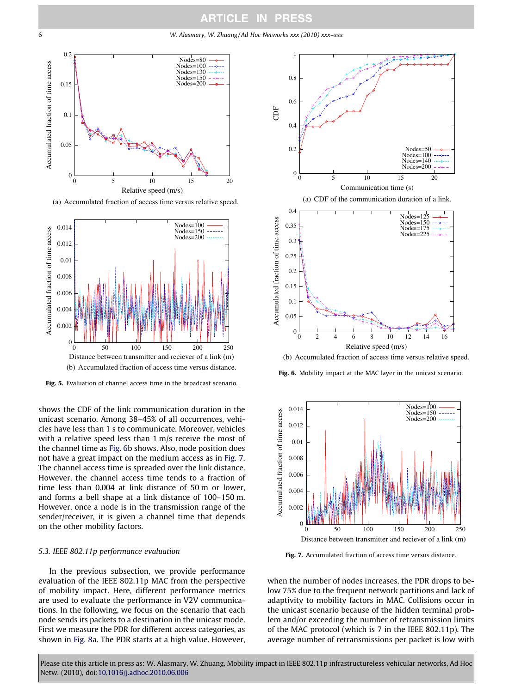<span id="page-5-0"></span>6 W. Alasmary, W. Zhuang / Ad Hoc Networks xxx (2010) xxx–xxx



(a) Accumulated fraction of access time versus relative speed.



Fig. 5. Evaluation of channel access time in the broadcast scenario.

shows the CDF of the link communication duration in the unicast scenario. Among 38–45% of all occurrences, vehicles have less than 1 s to communicate. Moreover, vehicles with a relative speed less than 1 m/s receive the most of the channel time as Fig. 6b shows. Also, node position does not have a great impact on the medium access as in Fig. 7. The channel access time is spreaded over the link distance. However, the channel access time tends to a fraction of time less than 0.004 at link distance of 50 m or lower, and forms a bell shape at a link distance of 100–150 m. However, once a node is in the transmission range of the sender/receiver, it is given a channel time that depends on the other mobility factors.

#### 5.3. IEEE 802.11p performance evaluation

In the previous subsection, we provide performance evaluation of the IEEE 802.11p MAC from the perspective of mobility impact. Here, different performance metrics are used to evaluate the performance in V2V communications. In the following, we focus on the scenario that each node sends its packets to a destination in the unicast mode. First we measure the PDR for different access categories, as shown in [Fig. 8](#page-6-0)a. The PDR starts at a high value. However,



(b) Accumulated fraction of access time versus relative speed.

Fig. 6. Mobility impact at the MAC layer in the unicast scenario.



Fig. 7. Accumulated fraction of access time versus distance.

when the number of nodes increases, the PDR drops to below 75% due to the frequent network partitions and lack of adaptivity to mobility factors in MAC. Collisions occur in the unicast scenario because of the hidden terminal problem and/or exceeding the number of retransmission limits of the MAC protocol (which is 7 in the IEEE 802.11p). The average number of retransmissions per packet is low with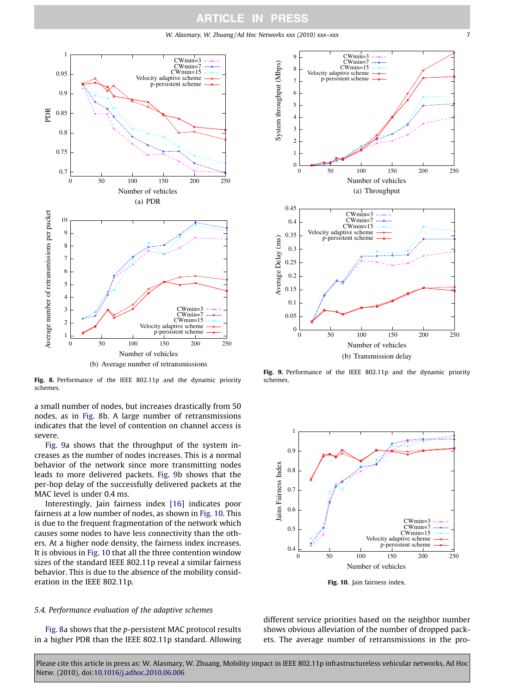W. Alasmary, W. Zhuang/Ad Hoc Networks xxx (2010) xxx-xxx

<span id="page-6-0"></span>

Fig. 8. Performance of the IEEE 802.11p and the dynamic priority schemes.

a small number of nodes, but increases drastically from 50 nodes, as in Fig. 8b. A large number of retransmissions indicates that the level of contention on channel access is severe.

Fig. 9a shows that the throughput of the system increases as the number of nodes increases. This is a normal behavior of the network since more transmitting nodes leads to more delivered packets. Fig. 9b shows that the per-hop delay of the successfully delivered packets at the MAC level is under 0.4 ms.

Interestingly, Jain fairness index [\[16\]](#page-7-0) indicates poor fairness at a low number of nodes, as shown in Fig. 10. This is due to the frequent fragmentation of the network which causes some nodes to have less connectivity than the others. At a higher node density, the fairness index increases. It is obvious in Fig. 10 that all the three contention window sizes of the standard IEEE 802.11p reveal a similar fairness behavior. This is due to the absence of the mobility consideration in the IEEE 802.11p.

#### 5.4. Performance evaluation of the adaptive schemes

Fig. 8a shows that the p-persistent MAC protocol results in a higher PDR than the IEEE 802.11p standard. Allowing



Fig. 9. Performance of the IEEE 802.11p and the dynamic priority schemes.



Fig. 10. Jain fairness index.

different service priorities based on the neighbor number shows obvious alleviation of the number of dropped packets. The average number of retransmissions in the pro-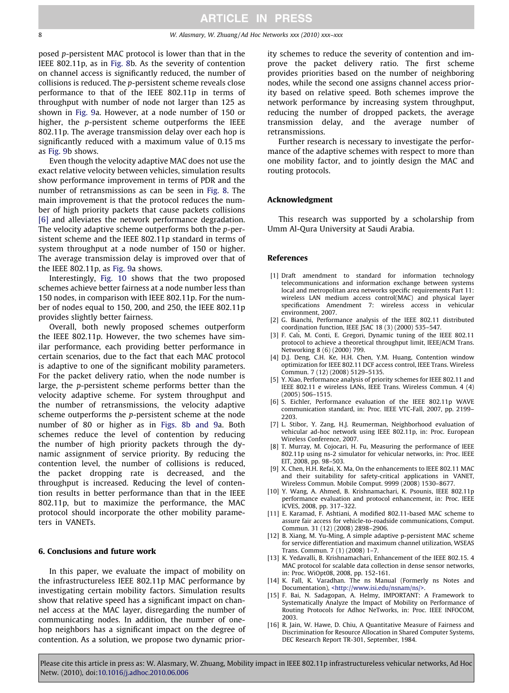<span id="page-7-0"></span>posed p-persistent MAC protocol is lower than that in the IEEE 802.11p, as in [Fig. 8b](#page-6-0). As the severity of contention on channel access is significantly reduced, the number of collisions is reduced. The p-persistent scheme reveals close performance to that of the IEEE 802.11p in terms of throughput with number of node not larger than 125 as shown in [Fig. 9](#page-6-0)a. However, at a node number of 150 or higher, the p-persistent scheme outperforms the IEEE 802.11p. The average transmission delay over each hop is significantly reduced with a maximum value of 0.15 ms as [Fig. 9](#page-6-0)b shows.

Even though the velocity adaptive MAC does not use the exact relative velocity between vehicles, simulation results show performance improvement in terms of PDR and the number of retransmissions as can be seen in [Fig. 8.](#page-6-0) The main improvement is that the protocol reduces the number of high priority packets that cause packets collisions [6] and alleviates the network performance degradation. The velocity adaptive scheme outperforms both the p-persistent scheme and the IEEE 802.11p standard in terms of system throughput at a node number of 150 or higher. The average transmission delay is improved over that of the IEEE 802.11p, as [Fig. 9](#page-6-0)a shows.

Interestingly, [Fig. 10](#page-6-0) shows that the two proposed schemes achieve better fairness at a node number less than 150 nodes, in comparison with IEEE 802.11p. For the number of nodes equal to 150, 200, and 250, the IEEE 802.11p provides slightly better fairness.

Overall, both newly proposed schemes outperform the IEEE 802.11p. However, the two schemes have similar performance, each providing better performance in certain scenarios, due to the fact that each MAC protocol is adaptive to one of the significant mobility parameters. For the packet delivery ratio, when the node number is large, the p-persistent scheme performs better than the velocity adaptive scheme. For system throughput and the number of retransmissions, the velocity adaptive scheme outperforms the p-persistent scheme at the node number of 80 or higher as in [Figs. 8b and 9](#page-6-0)a. Both schemes reduce the level of contention by reducing the number of high priority packets through the dynamic assignment of service priority. By reducing the contention level, the number of collisions is reduced, the packet dropping rate is decreased, and the throughput is increased. Reducing the level of contention results in better performance than that in the IEEE 802.11p, but to maximize the performance, the MAC protocol should incorporate the other mobility parameters in VANETs.

#### 6. Conclusions and future work

In this paper, we evaluate the impact of mobility on the infrastructureless IEEE 802.11p MAC performance by investigating certain mobility factors. Simulation results show that relative speed has a significant impact on channel access at the MAC layer, disregarding the number of communicating nodes. In addition, the number of onehop neighbors has a significant impact on the degree of contention. As a solution, we propose two dynamic priority schemes to reduce the severity of contention and improve the packet delivery ratio. The first scheme provides priorities based on the number of neighboring nodes, while the second one assigns channel access priority based on relative speed. Both schemes improve the network performance by increasing system throughput, reducing the number of dropped packets, the average transmission delay, and the average number of retransmissions.

Further research is necessary to investigate the performance of the adaptive schemes with respect to more than one mobility factor, and to jointly design the MAC and routing protocols.

#### Acknowledgment

This research was supported by a scholarship from Umm Al-Qura University at Saudi Arabia.

#### References

- [1] Draft amendment to standard for information technology telecommunications and information exchange between systems local and metropolitan area networks specific requirements Part 11: wireless LAN medium access control(MAC) and physical layer specifications Amendment 7: wireless access in vehicular environment, 2007.
- [2] G. Bianchi, Performance analysis of the IEEE 802.11 distributed coordination function, IEEE JSAC 18 (3) (2000) 535–547.
- [3] F. Cali, M. Conti, E. Gregori, Dynamic tuning of the IEEE 802.11 protocol to achieve a theoretical throughput limit, IEEE/ACM Trans. Networking 8 (6) (2000) 799.
- [4] D.J. Deng, C.H. Ke, H.H. Chen, Y.M. Huang, Contention window optimization for IEEE 802.11 DCF access control, IEEE Trans. Wireless Commun. 7 (12) (2008) 5129–5135.
- [5] Y. Xiao, Performance analysis of priority schemes for IEEE 802.11 and IEEE 802.11 e wireless LANs, IEEE Trans. Wireless Commun. 4 (4) (2005) 506–1515.
- [6] S. Eichler, Performance evaluation of the IEEE 802.11p WAVE communication standard, in: Proc. IEEE VTC-Fall, 2007, pp. 2199– 2203.
- [7] L. Stibor, Y. Zang, H.J. Reumerman, Neighborhood evaluation of vehicular ad-hoc network using IEEE 802.11p, in: Proc. European Wireless Conference, 2007.
- [8] T. Murray, M. Cojocari, H. Fu, Measuring the performance of IEEE 802.11p using ns-2 simulator for vehicular networks, in: Proc. IEEE EIT, 2008, pp. 98–503.
- [9] X. Chen, H.H. Refai, X. Ma, On the enhancements to IEEE 802.11 MAC and their suitability for safety-critical applications in VANET, Wireless Commun. Mobile Comput. 9999 (2008) 1530–8677.
- [10] Y. Wang, A. Ahmed, B. Krishnamachari, K. Psounis, IEEE 802.11p performance evaluation and protocol enhancement, in: Proc. IEEE ICVES, 2008, pp. 317–322.
- [11] E. Karamad, F. Ashtiani, A modified 802.11-based MAC scheme to assure fair access for vehicle-to-roadside communications, Comput. Commun. 31 (12) (2008) 2898–2906.
- [12] B. Xiang, M. Yu-Ming, A simple adaptive p-persistent MAC scheme for service differentiation and maximum channel utilization, WSEAS Trans. Commun. 7 (1) (2008) 1–7.
- [13] K. Yedavalli, B. Krishnamachari, Enhancement of the IEEE 802.15. 4 MAC protocol for scalable data collection in dense sensor networks, in: Proc. WiOpt08, 2008, pp. 152-161.
- [14] K. Fall, K. Varadhan. The ns Manual (Formerly ns Notes and Documentation), [<http://www.isi.edu/nsnam/ns/>.](http://www.isi.edu/nsnam/ns/)
- [15] F. Bai, N. Sadagopan, A. Helmy, IMPORTANT: A Framework to Systematically Analyze the Impact of Mobility on Performance of Routing Protocols for Adhoc NeTworks, in: Proc. IEEE INFOCOM, 2003.
- [16] R. Jain, W. Hawe, D. Chiu, A Quantitative Measure of Fairness and Discrimination for Resource Allocation in Shared Computer Systems, DEC Research Report TR-301, September, 1984.